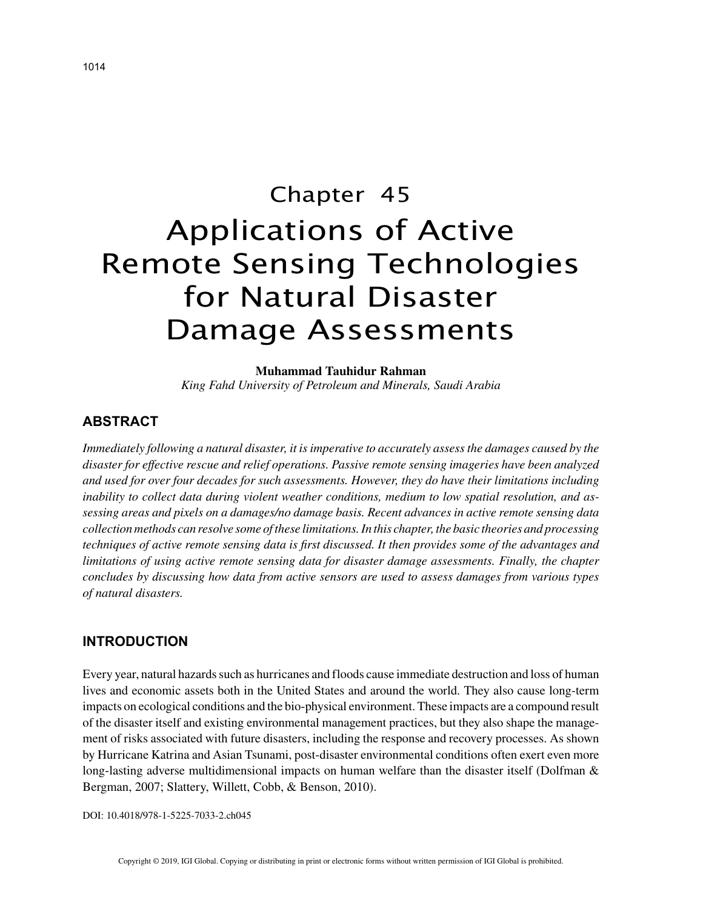# Chapter 45 Applications of Active Remote Sensing Technologies for Natural Disaster Damage Assessments

**Muhammad Tauhidur Rahman**

*King Fahd University of Petroleum and Minerals, Saudi Arabia*

# **ABSTRACT**

*Immediately following a natural disaster, it is imperative to accurately assess the damages caused by the disaster for effective rescue and relief operations. Passive remote sensing imageries have been analyzed and used for over four decades for such assessments. However, they do have their limitations including inability to collect data during violent weather conditions, medium to low spatial resolution, and assessing areas and pixels on a damages/no damage basis. Recent advances in active remote sensing data collection methods can resolve some of these limitations. In this chapter, the basic theories and processing techniques of active remote sensing data is first discussed. It then provides some of the advantages and limitations of using active remote sensing data for disaster damage assessments. Finally, the chapter concludes by discussing how data from active sensors are used to assess damages from various types of natural disasters.*

# **INTRODUCTION**

Every year, natural hazards such as hurricanes and floods cause immediate destruction and loss of human lives and economic assets both in the United States and around the world. They also cause long-term impacts on ecological conditions and the bio‐physical environment. These impacts are a compound result of the disaster itself and existing environmental management practices, but they also shape the management of risks associated with future disasters, including the response and recovery processes. As shown by Hurricane Katrina and Asian Tsunami, post‐disaster environmental conditions often exert even more long-lasting adverse multidimensional impacts on human welfare than the disaster itself (Dolfman & Bergman, 2007; Slattery, Willett, Cobb, & Benson, 2010).

DOI: 10.4018/978-1-5225-7033-2.ch045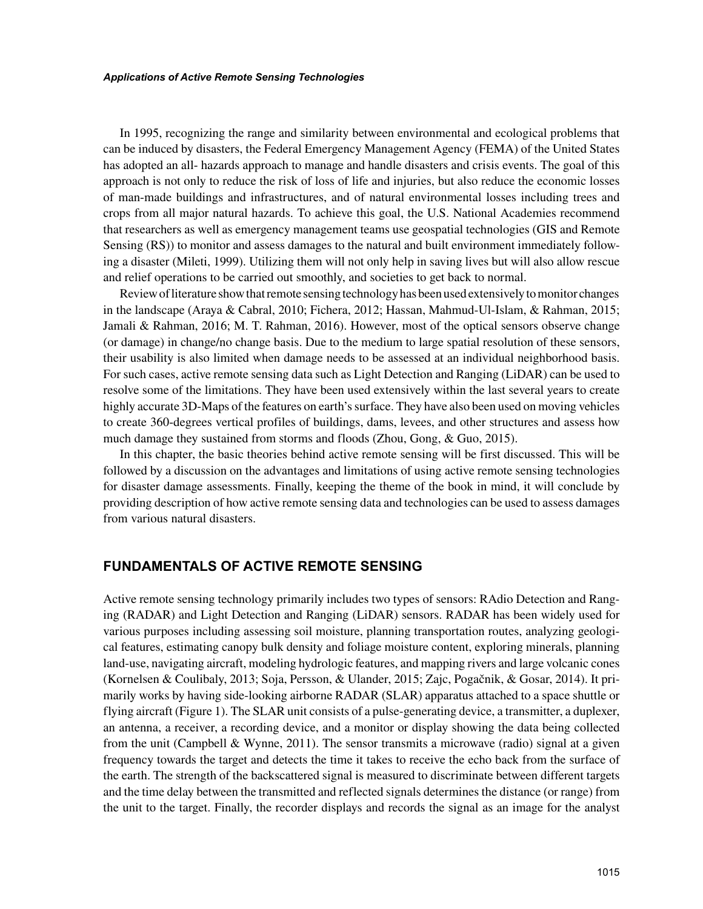#### *Applications of Active Remote Sensing Technologies*

In 1995, recognizing the range and similarity between environmental and ecological problems that can be induced by disasters, the Federal Emergency Management Agency (FEMA) of the United States has adopted an all-hazards approach to manage and handle disasters and crisis events. The goal of this approach is not only to reduce the risk of loss of life and injuries, but also reduce the economic losses of man‐made buildings and infrastructures, and of natural environmental losses including trees and crops from all major natural hazards. To achieve this goal, the U.S. National Academies recommend that researchers as well as emergency management teams use geospatial technologies (GIS and Remote Sensing (RS)) to monitor and assess damages to the natural and built environment immediately following a disaster (Mileti, 1999). Utilizing them will not only help in saving lives but will also allow rescue and relief operations to be carried out smoothly, and societies to get back to normal.

Review of literature show that remote sensing technology has been used extensively to monitor changes in the landscape (Araya & Cabral, 2010; Fichera, 2012; Hassan, Mahmud-Ul-Islam, & Rahman, 2015; Jamali & Rahman, 2016; M. T. Rahman, 2016). However, most of the optical sensors observe change (or damage) in change/no change basis. Due to the medium to large spatial resolution of these sensors, their usability is also limited when damage needs to be assessed at an individual neighborhood basis. For such cases, active remote sensing data such as Light Detection and Ranging (LiDAR) can be used to resolve some of the limitations. They have been used extensively within the last several years to create highly accurate 3D–Maps of the features on earth's surface. They have also been used on moving vehicles to create 360‐degrees vertical profiles of buildings, dams, levees, and other structures and assess how much damage they sustained from storms and floods (Zhou, Gong, & Guo, 2015).

In this chapter, the basic theories behind active remote sensing will be first discussed. This will be followed by a discussion on the advantages and limitations of using active remote sensing technologies for disaster damage assessments. Finally, keeping the theme of the book in mind, it will conclude by providing description of how active remote sensing data and technologies can be used to assess damages from various natural disasters.

## **FUNDAMENTALS OF ACTIVE REMOTE SENSING**

Active remote sensing technology primarily includes two types of sensors: RAdio Detection and Ranging (RADAR) and Light Detection and Ranging (LiDAR) sensors. RADAR has been widely used for various purposes including assessing soil moisture, planning transportation routes, analyzing geological features, estimating canopy bulk density and foliage moisture content, exploring minerals, planning land-use, navigating aircraft, modeling hydrologic features, and mapping rivers and large volcanic cones (Kornelsen & Coulibaly, 2013; Soja, Persson, & Ulander, 2015; Zajc, Pogačnik, & Gosar, 2014). It primarily works by having side-looking airborne RADAR (SLAR) apparatus attached to a space shuttle or flying aircraft (Figure 1). The SLAR unit consists of a pulse-generating device, a transmitter, a duplexer, an antenna, a receiver, a recording device, and a monitor or display showing the data being collected from the unit (Campbell & Wynne, 2011). The sensor transmits a microwave (radio) signal at a given frequency towards the target and detects the time it takes to receive the echo back from the surface of the earth. The strength of the backscattered signal is measured to discriminate between different targets and the time delay between the transmitted and reflected signals determines the distance (or range) from the unit to the target. Finally, the recorder displays and records the signal as an image for the analyst